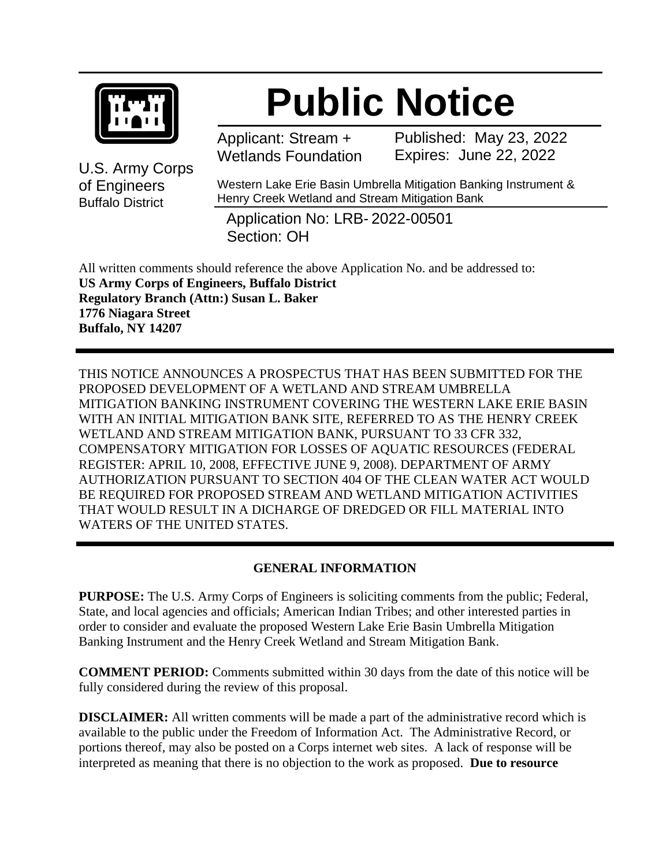

# **Public Notice**

Applicant: Stream + Wetlands Foundation Published: May 23, 2022 Expires: June 22, 2022

U.S. Army Corps of Engineers Buffalo District

Western Lake Erie Basin Umbrella Mitigation Banking Instrument & Henry Creek Wetland and Stream Mitigation Bank

Application No: LRB- 2022-00501 Section: OH

All written comments should reference the above Application No. and be addressed to: **US Army Corps of Engineers, Buffalo District Regulatory Branch (Attn:) Susan L. Baker 1776 Niagara Street Buffalo, NY 14207**

THIS NOTICE ANNOUNCES A PROSPECTUS THAT HAS BEEN SUBMITTED FOR THE PROPOSED DEVELOPMENT OF A WETLAND AND STREAM UMBRELLA MITIGATION BANKING INSTRUMENT COVERING THE WESTERN LAKE ERIE BASIN WITH AN INITIAL MITIGATION BANK SITE, REFERRED TO AS THE HENRY CREEK WETLAND AND STREAM MITIGATION BANK, PURSUANT TO 33 CFR 332, COMPENSATORY MITIGATION FOR LOSSES OF AQUATIC RESOURCES (FEDERAL REGISTER: APRIL 10, 2008, EFFECTIVE JUNE 9, 2008). DEPARTMENT OF ARMY AUTHORIZATION PURSUANT TO SECTION 404 OF THE CLEAN WATER ACT WOULD BE REQUIRED FOR PROPOSED STREAM AND WETLAND MITIGATION ACTIVITIES THAT WOULD RESULT IN A DICHARGE OF DREDGED OR FILL MATERIAL INTO WATERS OF THE UNITED STATES.

## **GENERAL INFORMATION**

**PURPOSE:** The U.S. Army Corps of Engineers is soliciting comments from the public; Federal, State, and local agencies and officials; American Indian Tribes; and other interested parties in order to consider and evaluate the proposed Western Lake Erie Basin Umbrella Mitigation Banking Instrument and the Henry Creek Wetland and Stream Mitigation Bank.

**COMMENT PERIOD:** Comments submitted within 30 days from the date of this notice will be fully considered during the review of this proposal.

**DISCLAIMER:** All written comments will be made a part of the administrative record which is available to the public under the Freedom of Information Act. The Administrative Record, or portions thereof, may also be posted on a Corps internet web sites. A lack of response will be interpreted as meaning that there is no objection to the work as proposed. **Due to resource**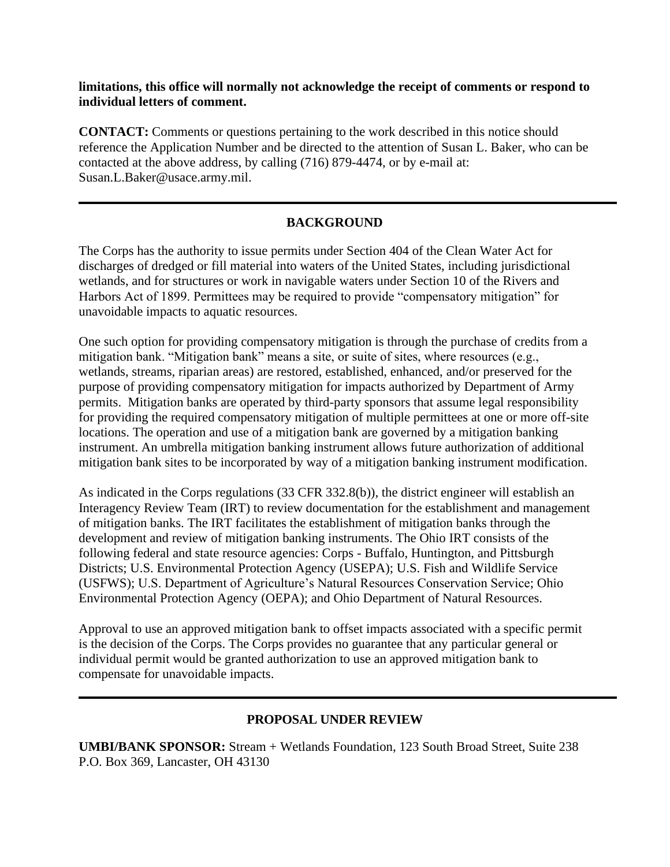#### **limitations, this office will normally not acknowledge the receipt of comments or respond to individual letters of comment.**

**CONTACT:** Comments or questions pertaining to the work described in this notice should reference the Application Number and be directed to the attention of Susan L. Baker, who can be contacted at the above address, by calling (716) 879-4474, or by e-mail at: Susan.L.Baker@usace.army.mil.

#### **BACKGROUND**

The Corps has the authority to issue permits under Section 404 of the Clean Water Act for discharges of dredged or fill material into waters of the United States, including jurisdictional wetlands, and for structures or work in navigable waters under Section 10 of the Rivers and Harbors Act of 1899. Permittees may be required to provide "compensatory mitigation" for unavoidable impacts to aquatic resources.

One such option for providing compensatory mitigation is through the purchase of credits from a mitigation bank. "Mitigation bank" means a site, or suite of sites, where resources (e.g., wetlands, streams, riparian areas) are restored, established, enhanced, and/or preserved for the purpose of providing compensatory mitigation for impacts authorized by Department of Army permits. Mitigation banks are operated by third-party sponsors that assume legal responsibility for providing the required compensatory mitigation of multiple permittees at one or more off-site locations. The operation and use of a mitigation bank are governed by a mitigation banking instrument. An umbrella mitigation banking instrument allows future authorization of additional mitigation bank sites to be incorporated by way of a mitigation banking instrument modification.

As indicated in the Corps regulations (33 CFR 332.8(b)), the district engineer will establish an Interagency Review Team (IRT) to review documentation for the establishment and management of mitigation banks. The IRT facilitates the establishment of mitigation banks through the development and review of mitigation banking instruments. The Ohio IRT consists of the following federal and state resource agencies: Corps - Buffalo, Huntington, and Pittsburgh Districts; U.S. Environmental Protection Agency (USEPA); U.S. Fish and Wildlife Service (USFWS); U.S. Department of Agriculture's Natural Resources Conservation Service; Ohio Environmental Protection Agency (OEPA); and Ohio Department of Natural Resources.

Approval to use an approved mitigation bank to offset impacts associated with a specific permit is the decision of the Corps. The Corps provides no guarantee that any particular general or individual permit would be granted authorization to use an approved mitigation bank to compensate for unavoidable impacts.

#### **PROPOSAL UNDER REVIEW**

**UMBI/BANK SPONSOR:** Stream + Wetlands Foundation, 123 South Broad Street, Suite 238 P.O. Box 369, Lancaster, OH 43130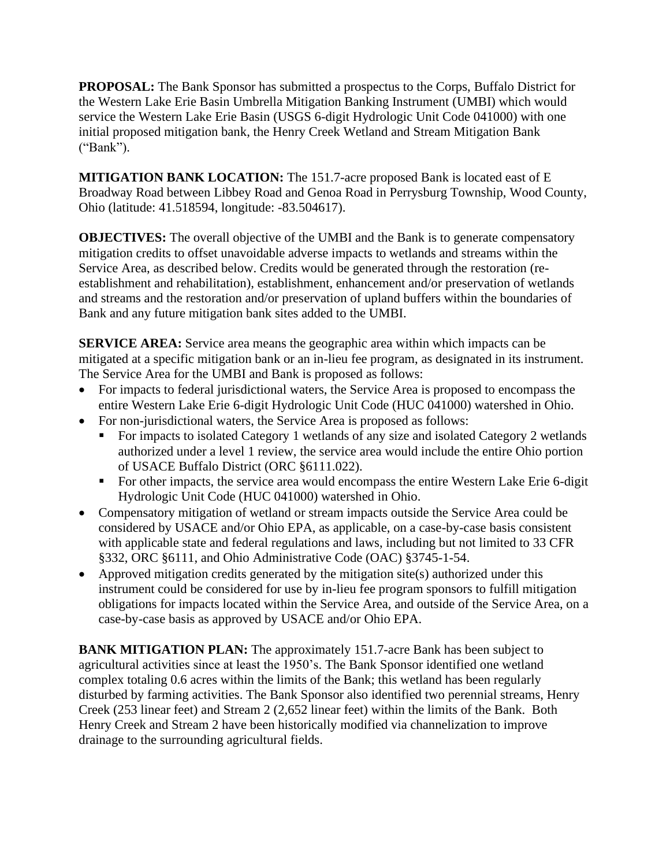**PROPOSAL:** The Bank Sponsor has submitted a prospectus to the Corps, Buffalo District for the Western Lake Erie Basin Umbrella Mitigation Banking Instrument (UMBI) which would service the Western Lake Erie Basin (USGS 6-digit Hydrologic Unit Code 041000) with one initial proposed mitigation bank, the Henry Creek Wetland and Stream Mitigation Bank ("Bank").

**MITIGATION BANK LOCATION:** The 151.7-acre proposed Bank is located east of E Broadway Road between Libbey Road and Genoa Road in Perrysburg Township, Wood County, Ohio (latitude: 41.518594, longitude: -83.504617).

**OBJECTIVES:** The overall objective of the UMBI and the Bank is to generate compensatory mitigation credits to offset unavoidable adverse impacts to wetlands and streams within the Service Area, as described below. Credits would be generated through the restoration (reestablishment and rehabilitation), establishment, enhancement and/or preservation of wetlands and streams and the restoration and/or preservation of upland buffers within the boundaries of Bank and any future mitigation bank sites added to the UMBI.

**SERVICE AREA:** Service area means the geographic area within which impacts can be mitigated at a specific mitigation bank or an in-lieu fee program, as designated in its instrument. The Service Area for the UMBI and Bank is proposed as follows:

- For impacts to federal jurisdictional waters, the Service Area is proposed to encompass the entire Western Lake Erie 6-digit Hydrologic Unit Code (HUC 041000) watershed in Ohio.
- For non-jurisdictional waters, the Service Area is proposed as follows:
	- For impacts to isolated Category 1 wetlands of any size and isolated Category 2 wetlands authorized under a level 1 review, the service area would include the entire Ohio portion of USACE Buffalo District (ORC §6111.022).
	- For other impacts, the service area would encompass the entire Western Lake Erie 6-digit Hydrologic Unit Code (HUC 041000) watershed in Ohio.
- Compensatory mitigation of wetland or stream impacts outside the Service Area could be considered by USACE and/or Ohio EPA, as applicable, on a case-by-case basis consistent with applicable state and federal regulations and laws, including but not limited to 33 CFR §332, ORC §6111, and Ohio Administrative Code (OAC) §3745-1-54.
- Approved mitigation credits generated by the mitigation site(s) authorized under this instrument could be considered for use by in-lieu fee program sponsors to fulfill mitigation obligations for impacts located within the Service Area, and outside of the Service Area, on a case-by-case basis as approved by USACE and/or Ohio EPA.

**BANK MITIGATION PLAN:** The approximately 151.7-acre Bank has been subject to agricultural activities since at least the 1950's. The Bank Sponsor identified one wetland complex totaling 0.6 acres within the limits of the Bank; this wetland has been regularly disturbed by farming activities. The Bank Sponsor also identified two perennial streams, Henry Creek (253 linear feet) and Stream 2 (2,652 linear feet) within the limits of the Bank. Both Henry Creek and Stream 2 have been historically modified via channelization to improve drainage to the surrounding agricultural fields.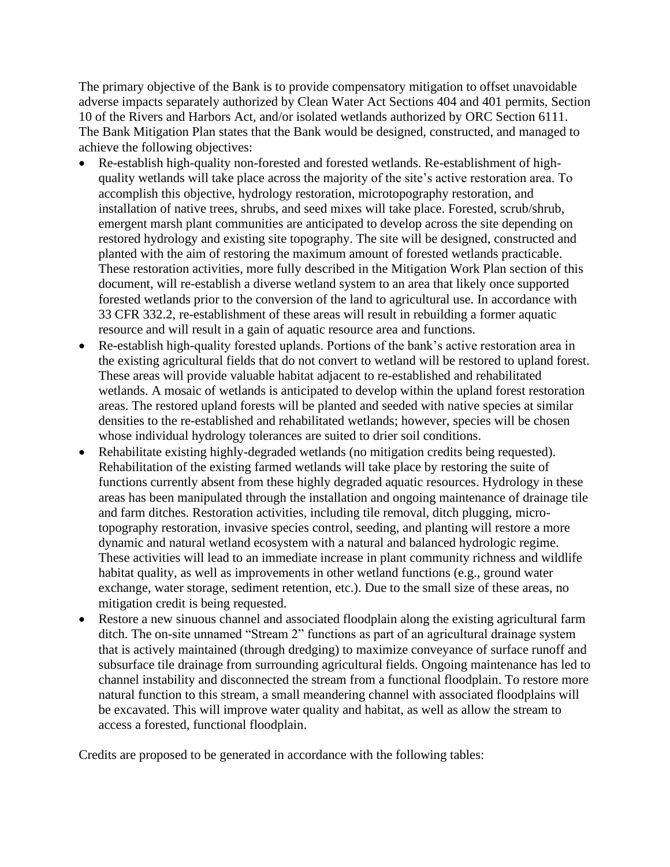The primary objective of the Bank is to provide compensatory mitigation to offset unavoidable adverse impacts separately authorized by Clean Water Act Sections 404 and 401 permits, Section 10 of the Rivers and Harbors Act, and/or isolated wetlands authorized by ORC Section 6111. The Bank Mitigation Plan states that the Bank would be designed, constructed, and managed to achieve the following objectives:

- Re-establish high-quality non-forested and forested wetlands. Re-establishment of highquality wetlands will take place across the majority of the site's active restoration area. To accomplish this objective, hydrology restoration, microtopography restoration, and installation of native trees, shrubs, and seed mixes will take place. Forested, scrub/shrub, emergent marsh plant communities are anticipated to develop across the site depending on restored hydrology and existing site topography. The site will be designed, constructed and planted with the aim of restoring the maximum amount of forested wetlands practicable. These restoration activities, more fully described in the Mitigation Work Plan section of this document, will re-establish a diverse wetland system to an area that likely once supported forested wetlands prior to the conversion of the land to agricultural use. In accordance with 33 CFR 332.2, re-establishment of these areas will result in rebuilding a former aquatic resource and will result in a gain of aquatic resource area and functions.
- Re-establish high-quality forested uplands. Portions of the bank's active restoration area in the existing agricultural fields that do not convert to wetland will be restored to upland forest. These areas will provide valuable habitat adjacent to re-established and rehabilitated wetlands. A mosaic of wetlands is anticipated to develop within the upland forest restoration areas. The restored upland forests will be planted and seeded with native species at similar densities to the re-established and rehabilitated wetlands; however, species will be chosen whose individual hydrology tolerances are suited to drier soil conditions.
- Rehabilitate existing highly-degraded wetlands (no mitigation credits being requested). Rehabilitation of the existing farmed wetlands will take place by restoring the suite of functions currently absent from these highly degraded aquatic resources. Hydrology in these areas has been manipulated through the installation and ongoing maintenance of drainage tile and farm ditches. Restoration activities, including tile removal, ditch plugging, microtopography restoration, invasive species control, seeding, and planting will restore a more dynamic and natural wetland ecosystem with a natural and balanced hydrologic regime. These activities will lead to an immediate increase in plant community richness and wildlife habitat quality, as well as improvements in other wetland functions (e.g., ground water exchange, water storage, sediment retention, etc.). Due to the small size of these areas, no mitigation credit is being requested.
- Restore a new sinuous channel and associated floodplain along the existing agricultural farm ditch. The on-site unnamed "Stream 2" functions as part of an agricultural drainage system that is actively maintained (through dredging) to maximize conveyance of surface runoff and subsurface tile drainage from surrounding agricultural fields. Ongoing maintenance has led to channel instability and disconnected the stream from a functional floodplain. To restore more natural function to this stream, a small meandering channel with associated floodplains will be excavated. This will improve water quality and habitat, as well as allow the stream to access a forested, functional floodplain.

Credits are proposed to be generated in accordance with the following tables: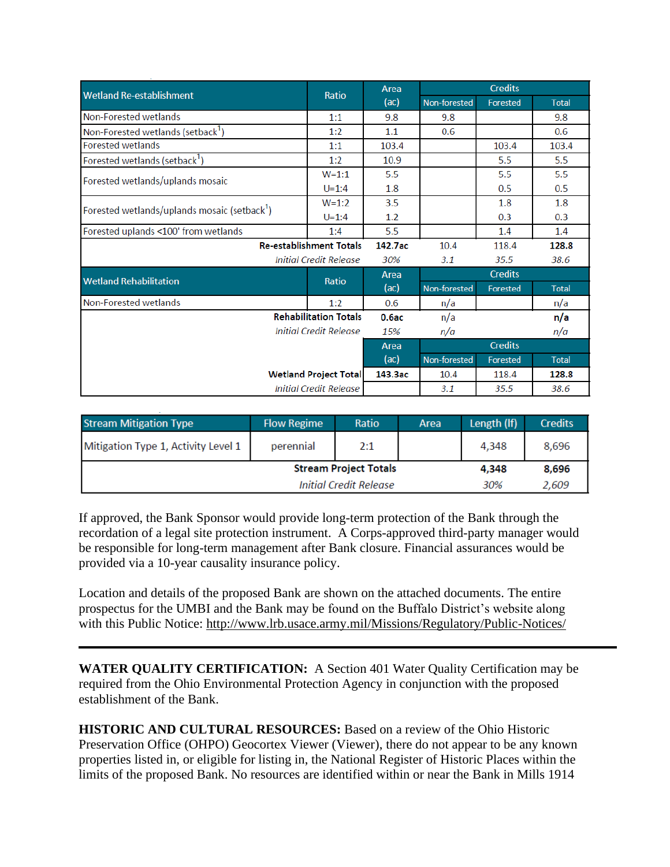| <b>Wetland Re-establishment</b>                                 | Ratio        | Area    | <b>Credits</b> |                |              |
|-----------------------------------------------------------------|--------------|---------|----------------|----------------|--------------|
|                                                                 |              | (ac)    | Non-forested   | Forested       | <b>Total</b> |
| Non-Forested wetlands                                           | 1:1          | 9.8     | 9.8            |                | 9.8          |
| Non-Forested wetlands (setback <sup>1</sup> )                   | 1:2          | 1.1     | 0.6            |                | 0.6          |
| <b>Forested wetlands</b>                                        | 1:1          | 103.4   |                | 103.4          | 103.4        |
| Forested wetlands (setback <sup>1</sup> )                       | 1:2          | 10.9    |                | 5.5            | 5.5          |
| Forested wetlands/uplands mosaic                                | $W = 1:1$    | 5.5     |                | 5.5            | 5.5          |
|                                                                 | $U = 1:4$    | 1.8     |                | 0.5            | 0.5          |
| Forested wetlands/uplands mosaic (setback <sup>1</sup> )        | $W=1:2$      | 3.5     |                | 1.8            | 1.8          |
|                                                                 | $U = 1:4$    | 1.2     |                | 0.3            | 0.3          |
| Forested uplands <100' from wetlands                            | 1:4          | 5.5     |                | 1.4            | 1.4          |
| <b>Re-establishment Totals</b><br><b>Initial Credit Release</b> |              | 142.7ac | 10.4           | 118.4          | 128.8        |
|                                                                 |              | 30%     | 3.1            | 35.5           | 38.6         |
| <b>Wetland Rehabilitation</b>                                   | <b>Ratio</b> | Area    | <b>Credits</b> |                |              |
|                                                                 |              | (ac)    | Non-forested   | Forested       | <b>Total</b> |
| Non-Forested wetlands                                           | 1:2          | 0.6     | n/a            |                | n/a          |
| <b>Rehabilitation Totals</b>                                    |              | 0.6ac   | n/a            |                | n/a          |
| <b>Initial Credit Release</b>                                   |              | 15%     | n/a            |                | n/a          |
|                                                                 |              | Area    |                | <b>Credits</b> |              |
|                                                                 |              | (ac)    | Non-forested   | Forested       | <b>Total</b> |
| <b>Wetland Project Total</b>                                    |              | 143.3ac | 10.4           | 118.4          | 128.8        |
| <b>Initial Credit Release</b>                                   |              |         | 3.1            | 35.5           | 38.6         |

| <b>Stream Mitigation Type</b>       | <b>Flow Regime</b> | Ratio | Area | Length (If) | <b>Credits</b> |
|-------------------------------------|--------------------|-------|------|-------------|----------------|
| Mitigation Type 1, Activity Level 1 | perennial          | 2:1   |      | 4,348       | 8,696          |
| <b>Stream Project Totals</b>        |                    |       |      |             | 8,696          |
| <b>Initial Credit Release</b>       |                    |       |      | 30%         | 2,609          |

If approved, the Bank Sponsor would provide long-term protection of the Bank through the recordation of a legal site protection instrument. A Corps-approved third-party manager would be responsible for long-term management after Bank closure. Financial assurances would be provided via a 10-year causality insurance policy.

Location and details of the proposed Bank are shown on the attached documents. The entire prospectus for the UMBI and the Bank may be found on the Buffalo District's website along with this Public Notice:<http://www.lrb.usace.army.mil/Missions/Regulatory/Public-Notices/>

**WATER QUALITY CERTIFICATION:** A Section 401 Water Quality Certification may be required from the Ohio Environmental Protection Agency in conjunction with the proposed establishment of the Bank.

**HISTORIC AND CULTURAL RESOURCES:** Based on a review of the Ohio Historic Preservation Office (OHPO) Geocortex Viewer (Viewer), there do not appear to be any known properties listed in, or eligible for listing in, the National Register of Historic Places within the limits of the proposed Bank. No resources are identified within or near the Bank in Mills 1914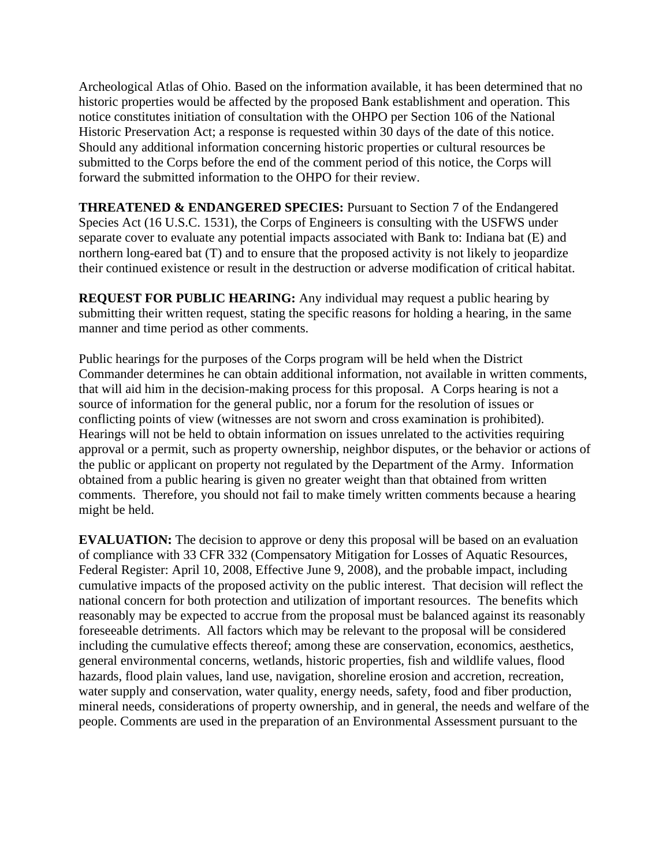Archeological Atlas of Ohio. Based on the information available, it has been determined that no historic properties would be affected by the proposed Bank establishment and operation. This notice constitutes initiation of consultation with the OHPO per Section 106 of the National Historic Preservation Act; a response is requested within 30 days of the date of this notice. Should any additional information concerning historic properties or cultural resources be submitted to the Corps before the end of the comment period of this notice, the Corps will forward the submitted information to the OHPO for their review.

**THREATENED & ENDANGERED SPECIES:** Pursuant to Section 7 of the Endangered Species Act (16 U.S.C. 1531), the Corps of Engineers is consulting with the USFWS under separate cover to evaluate any potential impacts associated with Bank to: Indiana bat (E) and northern long-eared bat (T) and to ensure that the proposed activity is not likely to jeopardize their continued existence or result in the destruction or adverse modification of critical habitat.

**REQUEST FOR PUBLIC HEARING:** Any individual may request a public hearing by submitting their written request, stating the specific reasons for holding a hearing, in the same manner and time period as other comments.

Public hearings for the purposes of the Corps program will be held when the District Commander determines he can obtain additional information, not available in written comments, that will aid him in the decision-making process for this proposal. A Corps hearing is not a source of information for the general public, nor a forum for the resolution of issues or conflicting points of view (witnesses are not sworn and cross examination is prohibited). Hearings will not be held to obtain information on issues unrelated to the activities requiring approval or a permit, such as property ownership, neighbor disputes, or the behavior or actions of the public or applicant on property not regulated by the Department of the Army. Information obtained from a public hearing is given no greater weight than that obtained from written comments. Therefore, you should not fail to make timely written comments because a hearing might be held.

**EVALUATION:** The decision to approve or deny this proposal will be based on an evaluation of compliance with 33 CFR 332 (Compensatory Mitigation for Losses of Aquatic Resources, Federal Register: April 10, 2008, Effective June 9, 2008), and the probable impact, including cumulative impacts of the proposed activity on the public interest. That decision will reflect the national concern for both protection and utilization of important resources. The benefits which reasonably may be expected to accrue from the proposal must be balanced against its reasonably foreseeable detriments. All factors which may be relevant to the proposal will be considered including the cumulative effects thereof; among these are conservation, economics, aesthetics, general environmental concerns, wetlands, historic properties, fish and wildlife values, flood hazards, flood plain values, land use, navigation, shoreline erosion and accretion, recreation, water supply and conservation, water quality, energy needs, safety, food and fiber production, mineral needs, considerations of property ownership, and in general, the needs and welfare of the people. Comments are used in the preparation of an Environmental Assessment pursuant to the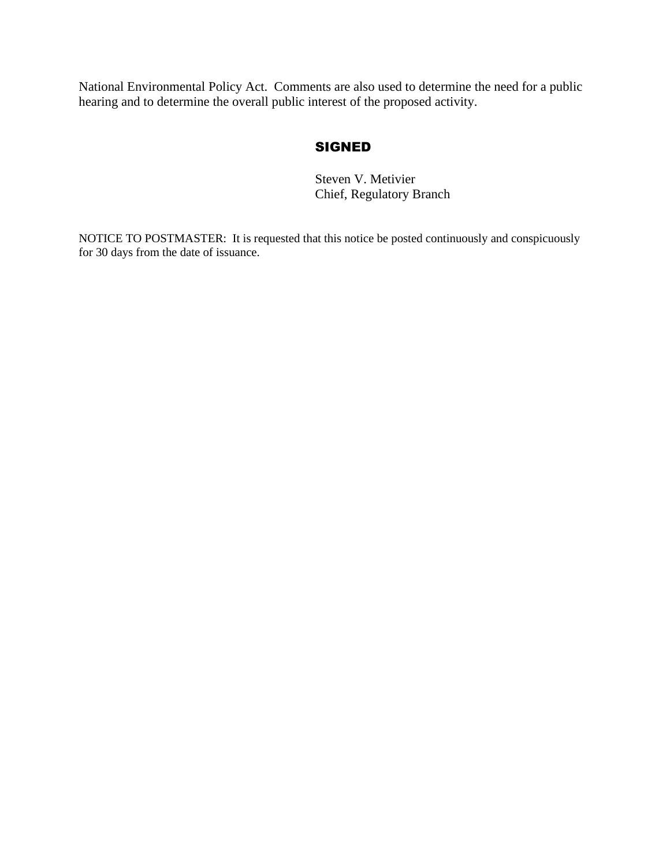National Environmental Policy Act. Comments are also used to determine the need for a public hearing and to determine the overall public interest of the proposed activity.

### **SIGNED**

Steven V. Metivier Chief, Regulatory Branch

NOTICE TO POSTMASTER: It is requested that this notice be posted continuously and conspicuously for 30 days from the date of issuance.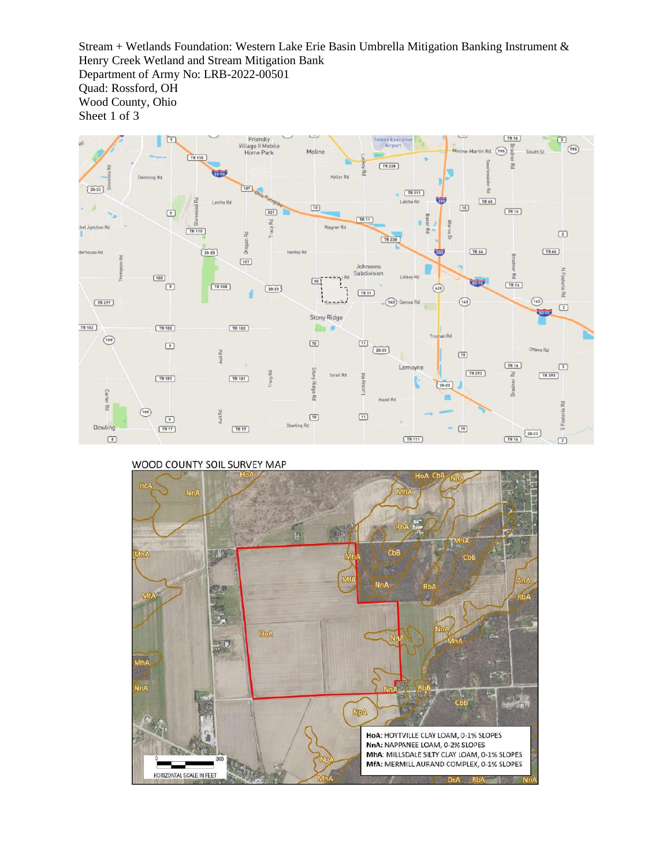Stream + Wetlands Foundation: Western Lake Erie Basin Umbrella Mitigation Banking Instrument & Henry Creek Wetland and Stream Mitigation Bank Department of Army No: LRB-2022-00501 Quad: Rossford, OH Wood County, Ohio Sheet 1 of 3



#### WOOD COUNTY SOIL SURVEY MAP

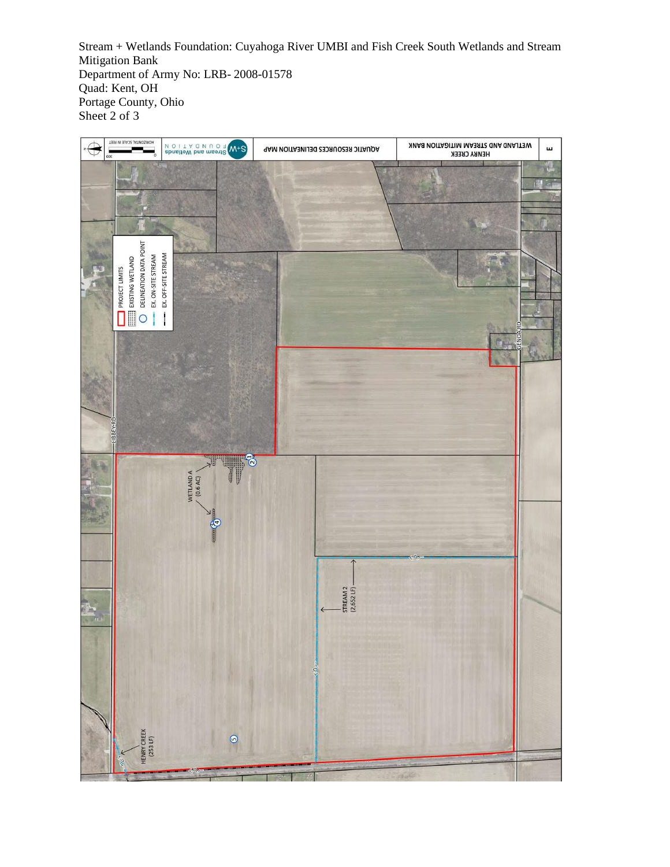Stream + Wetlands Foundation: Cuyahoga River UMBI and Fish Creek South Wetlands and Stream Mitigation Bank Department of Army No: LRB- 2008-01578 Quad: Kent, OH Portage County, Ohio Sheet 2 of 3